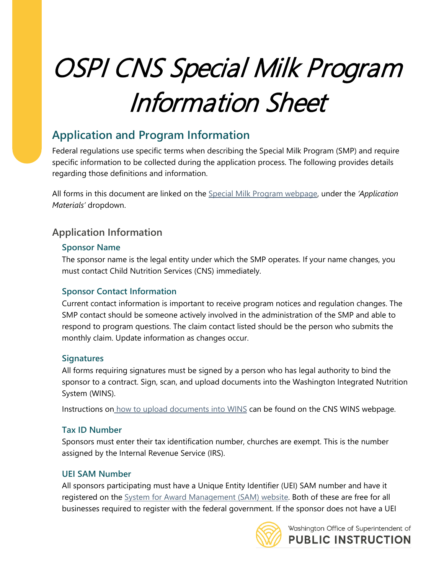# OSPI CNS Special Milk Program Information Sheet

## **Application and Program Information**

Federal regulations use specific terms when describing the Special Milk Program (SMP) and require specific information to be collected during the application process. The following provides details regarding those definitions and information.

All forms in this document are linked on the [Special Milk Program webpage,](http://k12.wa.us/ChildNutrition/programs/SpecialMilk/default.aspx) under the *'Application Materials'* dropdown.

### **Application Information**

#### **Sponsor Name**

The sponsor name is the legal entity under which the SMP operates. If your name changes, you must contact Child Nutrition Services (CNS) immediately.

#### **Sponsor Contact Information**

Current contact information is important to receive program notices and regulation changes. The SMP contact should be someone actively involved in the administration of the SMP and able to respond to program questions. The claim contact listed should be the person who submits the monthly claim. Update information as changes occur.

#### **Signatures**

All forms requiring signatures must be signed by a person who has legal authority to bind the sponsor to a contract. Sign, scan, and upload documents into the Washington Integrated Nutrition System (WINS).

Instructions on [how to upload documents into WINS](https://www.k12.wa.us/sites/default/files/public/childnutrition/pubdocs/AddingDocumentsInWINS.pdf) can be found on the CNS WINS webpage.

#### **Tax ID Number**

Sponsors must enter their tax identification number, churches are exempt. This is the number assigned by the Internal Revenue Service (IRS).

#### **UEI SAM Number**

All sponsors participating must have a Unique Entity Identifier (UEI) SAM number and have it registered on the **System for Award Management (SAM)** website. Both of these are free for all businesses required to register with the federal government. If the sponsor does not have a UEI



Washington Office of Superintendent of **PUBLIC INSTRUCTION**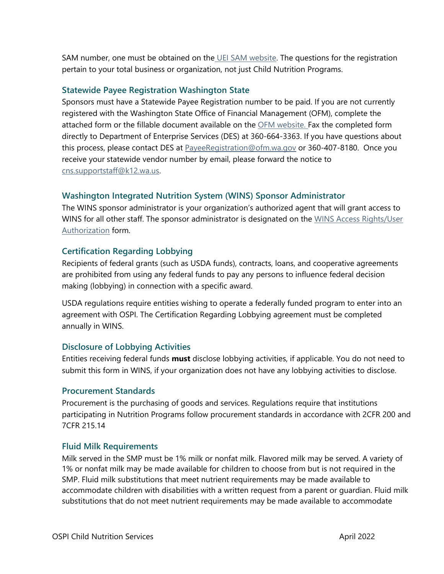SAM number, one must be obtained on the UEI SAM [website.](https://sam.gov/content/entity-registration) The questions for the registration pertain to your total business or organization, not just Child Nutrition Programs.

#### **Statewide Payee Registration Washington State**

Sponsors must have a Statewide Payee Registration number to be paid. If you are not currently registered with the Washington State Office of Financial Management (OFM), complete the attached form or the fillable document available on the [OFM website.](https://ofm.wa.gov/sites/default/files/public/payee/statewidePayeeRegistrationForm.pdf) Fax the completed form directly to Department of Enterprise Services (DES) at 360-664-3363. If you have questions about this process, please contact DES at [PayeeRegistration@ofm.wa.gov](mailto:PayeeRegistration@ofm.wa.gov) or 360-407-8180. Once you receive your statewide vendor number by email, please forward the notice to [cns.supportstaff@k12.wa.us.](mailto:cns.supportstaff@k12.wa.us)

#### **Washington Integrated Nutrition System (WINS) Sponsor Administrator**

The WINS sponsor administrator is your organization's authorized agent that will grant access to WINS for all other staff. The sponsor administrator is designated on the WINS Access Rights/User [Authorization](http://www.k12.wa.us/ChildNutrition/WINS.aspx) form.

#### **Certification Regarding Lobbying**

Recipients of federal grants (such as USDA funds), contracts, loans, and cooperative agreements are prohibited from using any federal funds to pay any persons to influence federal decision making (lobbying) in connection with a specific award.

USDA regulations require entities wishing to operate a federally funded program to enter into an agreement with OSPI. The Certification Regarding Lobbying agreement must be completed annually in WINS.

#### **Disclosure of Lobbying Activities**

Entities receiving federal funds **must** disclose lobbying activities, if applicable. You do not need to submit this form in WINS, if your organization does not have any lobbying activities to disclose.

#### **Procurement Standards**

Procurement is the purchasing of goods and services. Regulations require that institutions participating in Nutrition Programs follow procurement standards in accordance with 2CFR 200 and 7CFR 215.14

#### **Fluid Milk Requirements**

Milk served in the SMP must be 1% milk or nonfat milk. Flavored milk may be served. A variety of 1% or nonfat milk may be made available for children to choose from but is not required in the SMP. Fluid milk substitutions that meet nutrient requirements may be made available to accommodate children with disabilities with a written request from a parent or guardian. Fluid milk substitutions that do not meet nutrient requirements may be made available to accommodate